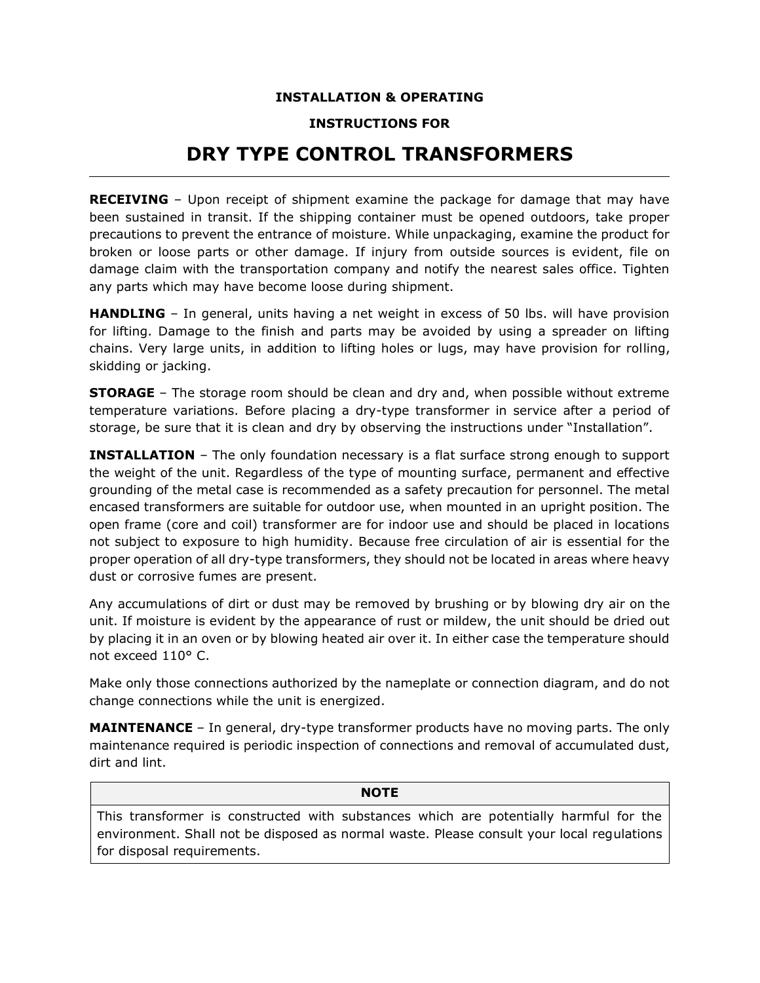## **INSTALLATION & OPERATING**

## **INSTRUCTIONS FOR**

## **DRY TYPE CONTROL TRANSFORMERS**

**RECEIVING** – Upon receipt of shipment examine the package for damage that may have been sustained in transit. If the shipping container must be opened outdoors, take proper precautions to prevent the entrance of moisture. While unpackaging, examine the product for broken or loose parts or other damage. If injury from outside sources is evident, file on damage claim with the transportation company and notify the nearest sales office. Tighten any parts which may have become loose during shipment.

**HANDLING** – In general, units having a net weight in excess of 50 lbs. will have provision for lifting. Damage to the finish and parts may be avoided by using a spreader on lifting chains. Very large units, in addition to lifting holes or lugs, may have provision for rolling, skidding or jacking.

**STORAGE** – The storage room should be clean and dry and, when possible without extreme temperature variations. Before placing a dry-type transformer in service after a period of storage, be sure that it is clean and dry by observing the instructions under "Installation".

**INSTALLATION** – The only foundation necessary is a flat surface strong enough to support the weight of the unit. Regardless of the type of mounting surface, permanent and effective grounding of the metal case is recommended as a safety precaution for personnel. The metal encased transformers are suitable for outdoor use, when mounted in an upright position. The open frame (core and coil) transformer are for indoor use and should be placed in locations not subject to exposure to high humidity. Because free circulation of air is essential for the proper operation of all dry-type transformers, they should not be located in areas where heavy dust or corrosive fumes are present.

Any accumulations of dirt or dust may be removed by brushing or by blowing dry air on the unit. If moisture is evident by the appearance of rust or mildew, the unit should be dried out by placing it in an oven or by blowing heated air over it. In either case the temperature should not exceed 110° C.

Make only those connections authorized by the nameplate or connection diagram, and do not change connections while the unit is energized.

**MAINTENANCE** – In general, dry-type transformer products have no moving parts. The only maintenance required is periodic inspection of connections and removal of accumulated dust, dirt and lint.

## **NOTE**

This transformer is constructed with substances which are potentially harmful for the environment. Shall not be disposed as normal waste. Please consult your local regulations for disposal requirements.